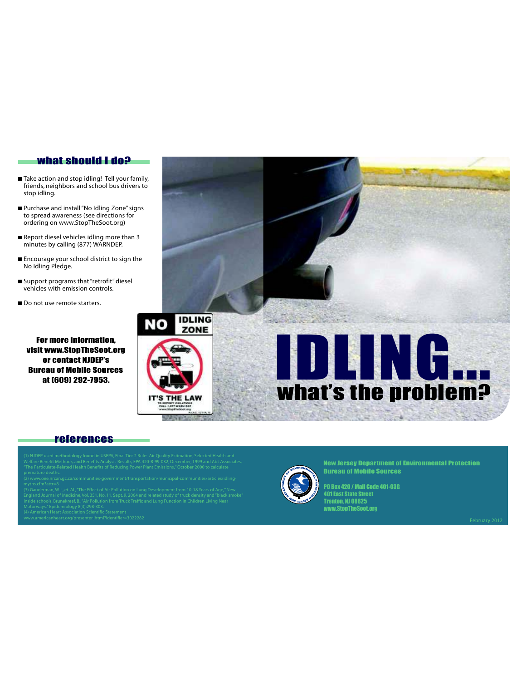#### what should I do?

- Take action and stop idling! Tell your family, friends, neighbors and school bus drivers to stop idling.
- Purchase and install "No Idling Zone" signs to spread awareness (see directions for ordering on www.StopTheSoot.org)
- Report diesel vehicles idling more than 3 minutes by calling (877) WARNDEP.
- Encourage your school district to sign the No Idling Pledge.
- Support programs that "retrofit" diesel vehicles with emission controls.
- Do not use remote starters.

For more information, visit www.StopTheSoot.org or contact NJDEP's Bureau of Mobile Sources at (609) 292-7953.



#### references

- 
- 

New Jersey Department of Environmental Protection Bureau of Mobile Sources

PO Box 420 / Mail Code 401-03G 401 East State Street Trenton, NJ 08625 www.StopTheSoot.org